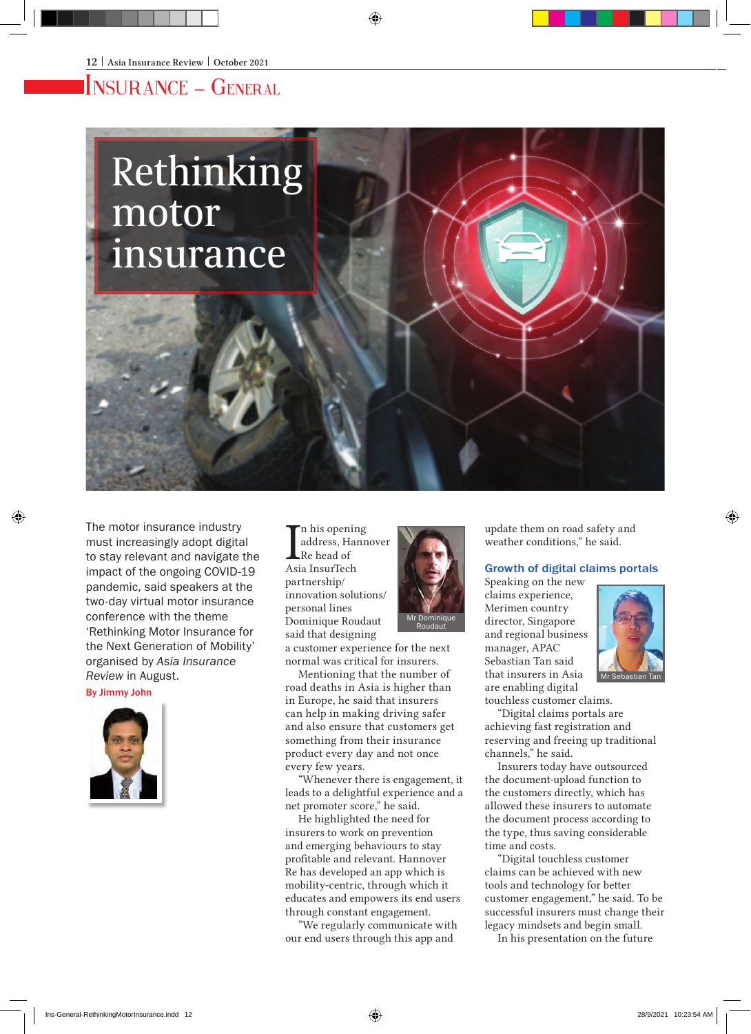## Insurance – General

# Rethinking motor insurance

The motor insurance industry must increasingly adopt digital to stay relevant and navigate the impact of the ongoing COVID-19 pandemic, said speakers at the two-day virtual motor insurance conference with the theme 'Rethinking Motor Insurance for the Next Generation of Mobility' organised by *Asia Insurance Review* in August.

By Jimmy John



In his openin<br>
address, Har<br>
Re head of<br>
Asia InsurTech n his opening address, Hannover Re head of partnership/ innovation solutions/ personal lines Dominique Roudaut said that designing

a customer experience for the next normal was critical for insurers.

Mentioning that the number of road deaths in Asia is higher than in Europe, he said that insurers can help in making driving safer and also ensure that customers get something from their insurance product every day and not once every few years.

"Whenever there is engagement, it leads to a delightful experience and a net promoter score," he said.

He highlighted the need for insurers to work on prevention and emerging behaviours to stay profitable and relevant. Hannover Re has developed an app which is mobility-centric, through which it educates and empowers its end users through constant engagement.

"We regularly communicate with our end users through this app and



update them on road safety and weather conditions," he said.

#### Growth of digital claims portals

Speaking on the new claims experience, Merimen country director, Singapore and regional business manager, APAC Sebastian Tan said that insurers in Asia are enabling digital



touchless customer claims.

"Digital claims portals are achieving fast registration and reserving and freeing up traditional channels," he said.

Insurers today have outsourced the document-upload function to the customers directly, which has allowed these insurers to automate the document process according to the type, thus saving considerable time and costs.

"Digital touchless customer claims can be achieved with new tools and technology for better customer engagement," he said. To be successful insurers must change their legacy mindsets and begin small.

In his presentation on the future